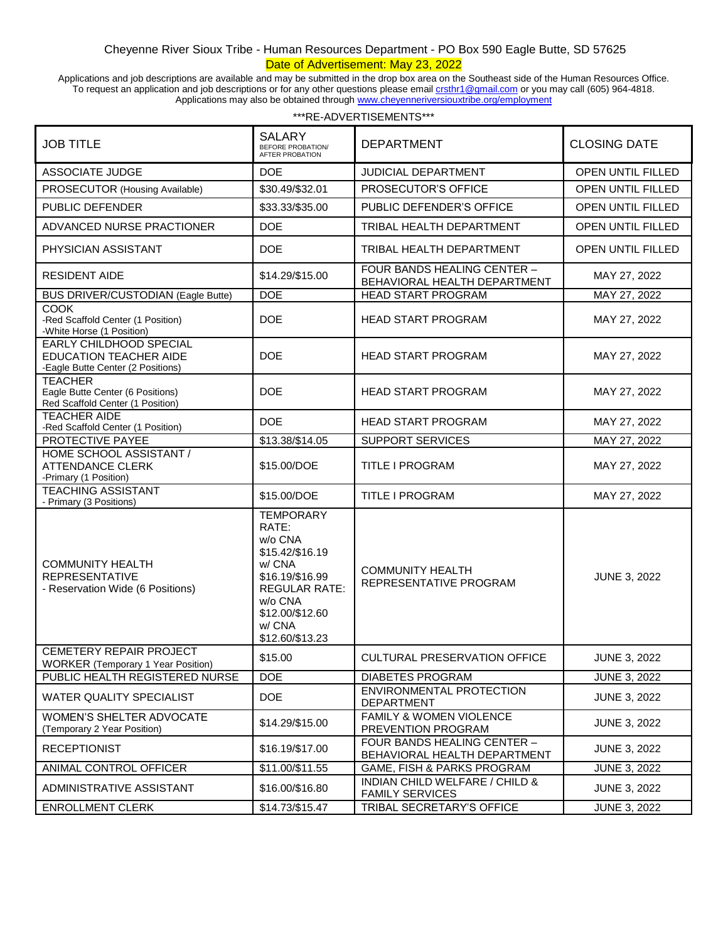## Cheyenne River Sioux Tribe - Human Resources Department - PO Box 590 Eagle Butte, SD 57625 Date of Advertisement: May 23, 2022

Applications and job descriptions are available and may be submitted in the drop box area on the Southeast side of the Human Resources Office. To request an application and job descriptions or for any other questions please email **crsthr1@gmail.com** or you may call (605) 964-4818. Applications may also be obtained throug[h www.cheyenneriversiouxtribe.org/employment](http://www.cheyenneriversiouxtribe.org/employment)

| <b>JOB TITLE</b>                                                                              | <b>SALARY</b><br>BEFORE PROBATION/<br><b>AFTER PROBATION</b>                                                                                                            | <b>DEPARTMENT</b>                                           | <b>CLOSING DATE</b>      |
|-----------------------------------------------------------------------------------------------|-------------------------------------------------------------------------------------------------------------------------------------------------------------------------|-------------------------------------------------------------|--------------------------|
| <b>ASSOCIATE JUDGE</b>                                                                        | <b>DOE</b>                                                                                                                                                              | <b>JUDICIAL DEPARTMENT</b>                                  | <b>OPEN UNTIL FILLED</b> |
| PROSECUTOR (Housing Available)                                                                | \$30.49/\$32.01                                                                                                                                                         | PROSECUTOR'S OFFICE                                         | OPEN UNTIL FILLED        |
| <b>PUBLIC DEFENDER</b>                                                                        | \$33.33/\$35.00                                                                                                                                                         | PUBLIC DEFENDER'S OFFICE                                    | <b>OPEN UNTIL FILLED</b> |
| ADVANCED NURSE PRACTIONER                                                                     | <b>DOE</b>                                                                                                                                                              | TRIBAL HEALTH DEPARTMENT                                    | OPEN UNTIL FILLED        |
| PHYSICIAN ASSISTANT                                                                           | <b>DOE</b>                                                                                                                                                              | TRIBAL HEALTH DEPARTMENT                                    | OPEN UNTIL FILLED        |
| <b>RESIDENT AIDE</b>                                                                          | \$14.29/\$15.00                                                                                                                                                         | FOUR BANDS HEALING CENTER -<br>BEHAVIORAL HEALTH DEPARTMENT | MAY 27, 2022             |
| <b>BUS DRIVER/CUSTODIAN (Eagle Butte)</b>                                                     | <b>DOE</b>                                                                                                                                                              | <b>HEAD START PROGRAM</b>                                   | MAY 27, 2022             |
| <b>COOK</b><br>-Red Scaffold Center (1 Position)<br>-White Horse (1 Position)                 | <b>DOE</b>                                                                                                                                                              | <b>HEAD START PROGRAM</b>                                   | MAY 27, 2022             |
| EARLY CHILDHOOD SPECIAL<br><b>EDUCATION TEACHER AIDE</b><br>-Eagle Butte Center (2 Positions) | <b>DOE</b>                                                                                                                                                              | <b>HEAD START PROGRAM</b>                                   | MAY 27, 2022             |
| <b>TEACHER</b><br>Eagle Butte Center (6 Positions)<br>Red Scaffold Center (1 Position)        | <b>DOE</b>                                                                                                                                                              | <b>HEAD START PROGRAM</b>                                   | MAY 27, 2022             |
| <b>TEACHER AIDE</b><br>-Red Scaffold Center (1 Position)                                      | <b>DOE</b>                                                                                                                                                              | <b>HEAD START PROGRAM</b>                                   | MAY 27, 2022             |
| PROTECTIVE PAYEE                                                                              | \$13.38/\$14.05                                                                                                                                                         | <b>SUPPORT SERVICES</b>                                     | MAY 27, 2022             |
| HOME SCHOOL ASSISTANT /<br><b>ATTENDANCE CLERK</b><br>-Primary (1 Position)                   | \$15.00/DOE                                                                                                                                                             | <b>TITLE I PROGRAM</b>                                      | MAY 27, 2022             |
| <b>TEACHING ASSISTANT</b><br>- Primary (3 Positions)                                          | \$15.00/DOE                                                                                                                                                             | TITLE I PROGRAM                                             | MAY 27, 2022             |
| <b>COMMUNITY HEALTH</b><br><b>REPRESENTATIVE</b><br>- Reservation Wide (6 Positions)          | <b>TEMPORARY</b><br>RATE:<br>w/o CNA<br>\$15.42/\$16.19<br>w/ CNA<br>\$16.19/\$16.99<br><b>REGULAR RATE:</b><br>w/o CNA<br>\$12.00/\$12.60<br>w/ CNA<br>\$12.60/\$13.23 | <b>COMMUNITY HEALTH</b><br>REPRESENTATIVE PROGRAM           | <b>JUNE 3, 2022</b>      |
| <b>CEMETERY REPAIR PROJECT</b><br>WORKER (Temporary 1 Year Position)                          | \$15.00                                                                                                                                                                 | <b>CULTURAL PRESERVATION OFFICE</b>                         | <b>JUNE 3, 2022</b>      |
| PUBLIC HEALTH REGISTERED NURSE                                                                | <b>DOE</b>                                                                                                                                                              | DIABETES PROGRAM                                            | <b>JUNE 3, 2022</b>      |
| WATER QUALITY SPECIALIST                                                                      | <b>DOE</b>                                                                                                                                                              | ENVIRONMENTAL PROTECTION<br><b>DEPARTMENT</b>               | <b>JUNE 3, 2022</b>      |
| WOMEN'S SHELTER ADVOCATE<br>(Temporary 2 Year Position)                                       | \$14.29/\$15.00                                                                                                                                                         | FAMILY & WOMEN VIOLENCE<br>PREVENTION PROGRAM               | <b>JUNE 3, 2022</b>      |
| <b>RECEPTIONIST</b>                                                                           | \$16.19/\$17.00                                                                                                                                                         | FOUR BANDS HEALING CENTER -<br>BEHAVIORAL HEALTH DEPARTMENT | <b>JUNE 3, 2022</b>      |
| ANIMAL CONTROL OFFICER                                                                        | \$11.00/\$11.55                                                                                                                                                         | GAME, FISH & PARKS PROGRAM                                  | <b>JUNE 3, 2022</b>      |
| ADMINISTRATIVE ASSISTANT                                                                      | \$16.00/\$16.80                                                                                                                                                         | INDIAN CHILD WELFARE / CHILD &<br><b>FAMILY SERVICES</b>    | <b>JUNE 3, 2022</b>      |
| <b>ENROLLMENT CLERK</b>                                                                       | \$14.73/\$15.47                                                                                                                                                         | TRIBAL SECRETARY'S OFFICE                                   | <b>JUNE 3, 2022</b>      |

\*\*\*RE-ADVERTISEMENTS\*\*\*